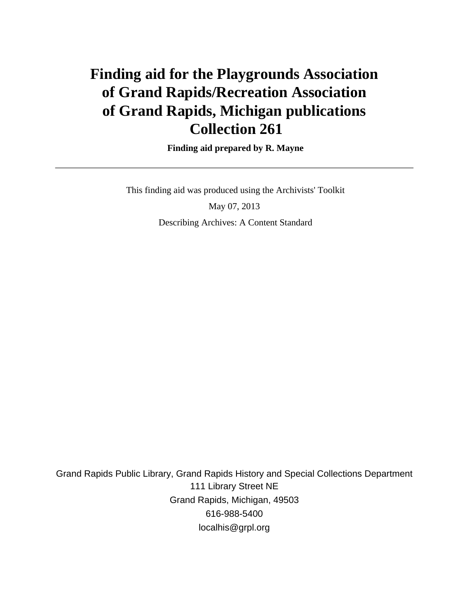# **Finding aid for the Playgrounds Association of Grand Rapids/Recreation Association of Grand Rapids, Michigan publications Collection 261**

 **Finding aid prepared by R. Mayne**

 This finding aid was produced using the Archivists' Toolkit May 07, 2013 Describing Archives: A Content Standard

Grand Rapids Public Library, Grand Rapids History and Special Collections Department 111 Library Street NE Grand Rapids, Michigan, 49503 616-988-5400 localhis@grpl.org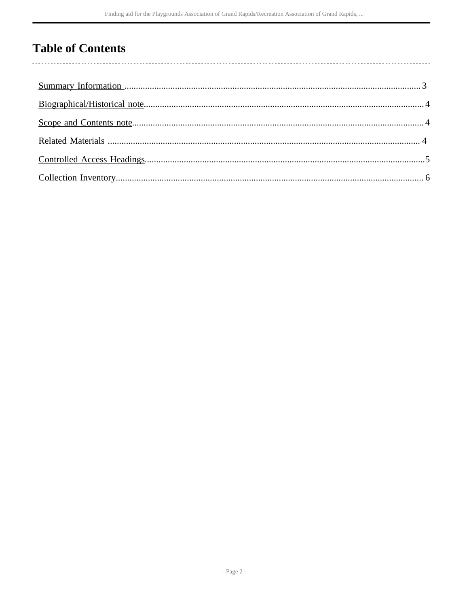## **Table of Contents**

 $\overline{\phantom{a}}$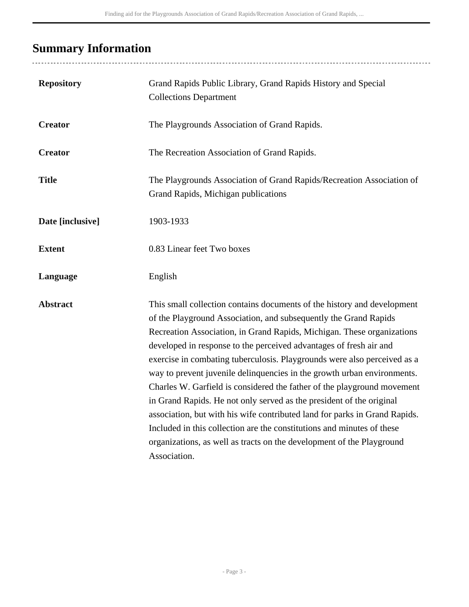## <span id="page-2-0"></span>**Summary Information**

| <b>Repository</b> | Grand Rapids Public Library, Grand Rapids History and Special<br><b>Collections Department</b>                                                                                                                                                                                                                                                                                                                                                                                                                                                                                                                                                                                                                                                                                                                                                         |
|-------------------|--------------------------------------------------------------------------------------------------------------------------------------------------------------------------------------------------------------------------------------------------------------------------------------------------------------------------------------------------------------------------------------------------------------------------------------------------------------------------------------------------------------------------------------------------------------------------------------------------------------------------------------------------------------------------------------------------------------------------------------------------------------------------------------------------------------------------------------------------------|
| <b>Creator</b>    | The Playgrounds Association of Grand Rapids.                                                                                                                                                                                                                                                                                                                                                                                                                                                                                                                                                                                                                                                                                                                                                                                                           |
| <b>Creator</b>    | The Recreation Association of Grand Rapids.                                                                                                                                                                                                                                                                                                                                                                                                                                                                                                                                                                                                                                                                                                                                                                                                            |
| <b>Title</b>      | The Playgrounds Association of Grand Rapids/Recreation Association of<br>Grand Rapids, Michigan publications                                                                                                                                                                                                                                                                                                                                                                                                                                                                                                                                                                                                                                                                                                                                           |
| Date [inclusive]  | 1903-1933                                                                                                                                                                                                                                                                                                                                                                                                                                                                                                                                                                                                                                                                                                                                                                                                                                              |
| <b>Extent</b>     | 0.83 Linear feet Two boxes                                                                                                                                                                                                                                                                                                                                                                                                                                                                                                                                                                                                                                                                                                                                                                                                                             |
| Language          | English                                                                                                                                                                                                                                                                                                                                                                                                                                                                                                                                                                                                                                                                                                                                                                                                                                                |
| <b>Abstract</b>   | This small collection contains documents of the history and development<br>of the Playground Association, and subsequently the Grand Rapids<br>Recreation Association, in Grand Rapids, Michigan. These organizations<br>developed in response to the perceived advantages of fresh air and<br>exercise in combating tuberculosis. Playgrounds were also perceived as a<br>way to prevent juvenile delinquencies in the growth urban environments.<br>Charles W. Garfield is considered the father of the playground movement<br>in Grand Rapids. He not only served as the president of the original<br>association, but with his wife contributed land for parks in Grand Rapids.<br>Included in this collection are the constitutions and minutes of these<br>organizations, as well as tracts on the development of the Playground<br>Association. |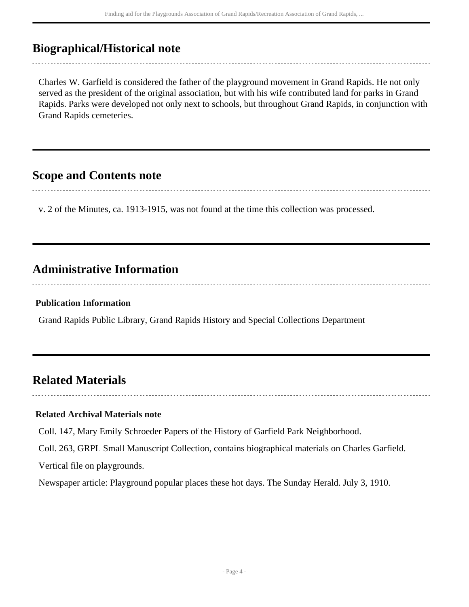### <span id="page-3-0"></span>**Biographical/Historical note**

Charles W. Garfield is considered the father of the playground movement in Grand Rapids. He not only served as the president of the original association, but with his wife contributed land for parks in Grand Rapids. Parks were developed not only next to schools, but throughout Grand Rapids, in conjunction with Grand Rapids cemeteries.

### <span id="page-3-1"></span>**Scope and Contents note**

v. 2 of the Minutes, ca. 1913-1915, was not found at the time this collection was processed.

### **Administrative Information**

#### **Publication Information**

Grand Rapids Public Library, Grand Rapids History and Special Collections Department

### <span id="page-3-2"></span>**Related Materials**

#### **Related Archival Materials note**

Coll. 147, Mary Emily Schroeder Papers of the History of Garfield Park Neighborhood.

Coll. 263, GRPL Small Manuscript Collection, contains biographical materials on Charles Garfield.

Vertical file on playgrounds.

Newspaper article: Playground popular places these hot days. The Sunday Herald. July 3, 1910.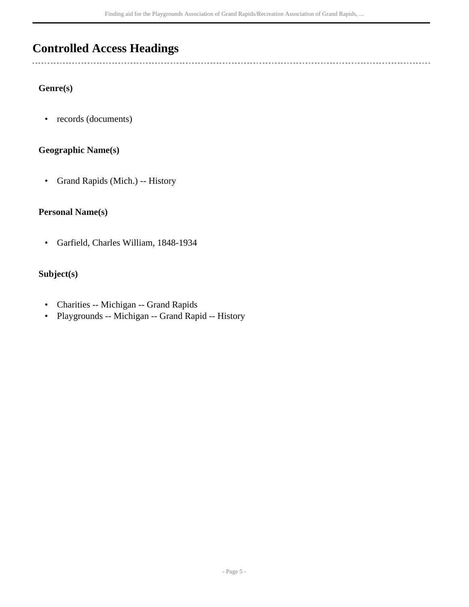### <span id="page-4-0"></span>**Controlled Access Headings**

#### **Genre(s)**

 $\overline{a}$ 

• records (documents)

#### **Geographic Name(s)**

• Grand Rapids (Mich.) -- History

#### **Personal Name(s)**

• Garfield, Charles William, 1848-1934

#### **Subject(s)**

- Charities -- Michigan -- Grand Rapids
- Playgrounds -- Michigan -- Grand Rapid -- History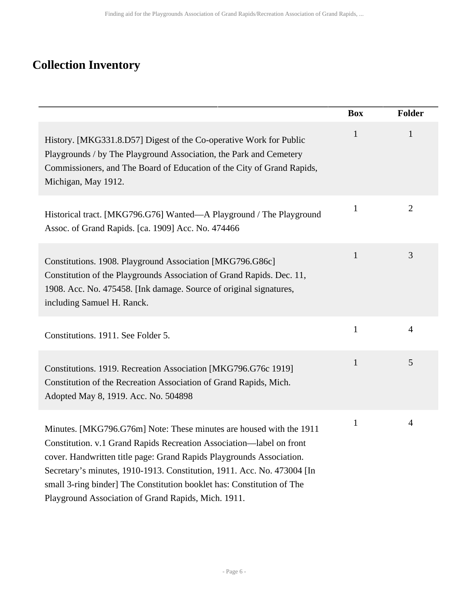# <span id="page-5-0"></span>**Collection Inventory**

|                                                                                                                                                                                                                                                                                                                                                                                                                                 | <b>Box</b>   | Folder         |
|---------------------------------------------------------------------------------------------------------------------------------------------------------------------------------------------------------------------------------------------------------------------------------------------------------------------------------------------------------------------------------------------------------------------------------|--------------|----------------|
| History. [MKG331.8.D57] Digest of the Co-operative Work for Public<br>Playgrounds / by The Playground Association, the Park and Cemetery<br>Commissioners, and The Board of Education of the City of Grand Rapids,<br>Michigan, May 1912.                                                                                                                                                                                       | $\mathbf{1}$ | $\mathbf{1}$   |
| Historical tract. [MKG796.G76] Wanted—A Playground / The Playground<br>Assoc. of Grand Rapids. [ca. 1909] Acc. No. 474466                                                                                                                                                                                                                                                                                                       | $\mathbf{1}$ | $\overline{2}$ |
| Constitutions. 1908. Playground Association [MKG796.G86c]<br>Constitution of the Playgrounds Association of Grand Rapids. Dec. 11,<br>1908. Acc. No. 475458. [Ink damage. Source of original signatures,<br>including Samuel H. Ranck.                                                                                                                                                                                          | $\mathbf{1}$ | 3              |
| Constitutions. 1911. See Folder 5.                                                                                                                                                                                                                                                                                                                                                                                              | $\mathbf{1}$ | $\overline{4}$ |
| Constitutions. 1919. Recreation Association [MKG796.G76c 1919]<br>Constitution of the Recreation Association of Grand Rapids, Mich.<br>Adopted May 8, 1919. Acc. No. 504898                                                                                                                                                                                                                                                     | $\mathbf{1}$ | 5              |
| Minutes. [MKG796.G76m] Note: These minutes are housed with the 1911<br>Constitution. v.1 Grand Rapids Recreation Association—label on front<br>cover. Handwritten title page: Grand Rapids Playgrounds Association.<br>Secretary's minutes, 1910-1913. Constitution, 1911. Acc. No. 473004 [In<br>small 3-ring binder] The Constitution booklet has: Constitution of The<br>Playground Association of Grand Rapids, Mich. 1911. | $\mathbf{1}$ | 4              |